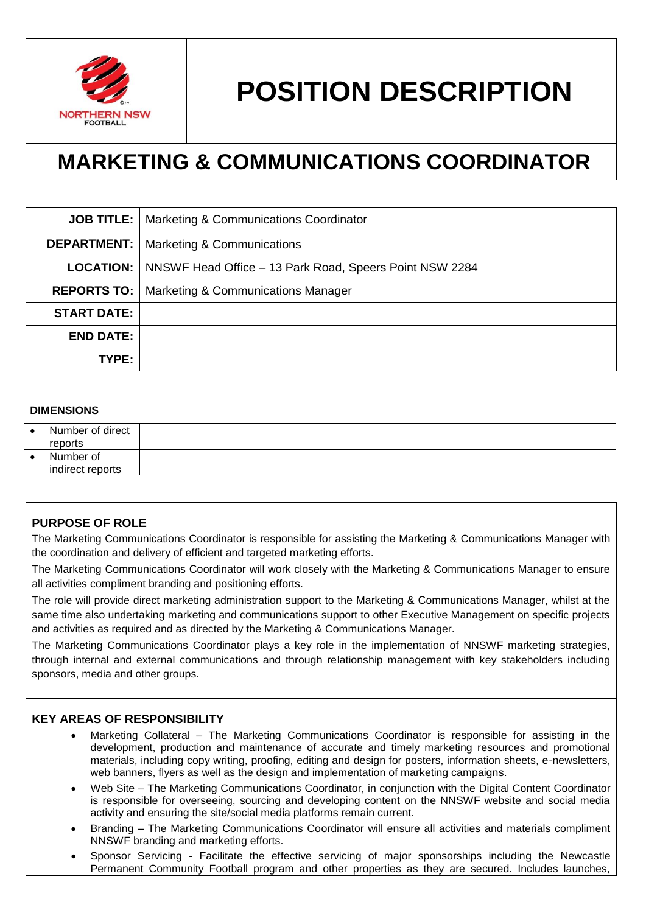

# **POSITION DESCRIPTION**

# **MARKETING & COMMUNICATIONS COORDINATOR**

|                    | <b>JOB TITLE:</b>   Marketing & Communications Coordinator                 |
|--------------------|----------------------------------------------------------------------------|
| <b>DEPARTMENT:</b> | Marketing & Communications                                                 |
|                    | <b>LOCATION:</b>   NNSWF Head Office – 13 Park Road, Speers Point NSW 2284 |
|                    | <b>REPORTS TO:   Marketing &amp; Communications Manager</b>                |
| <b>START DATE:</b> |                                                                            |
| <b>END DATE:</b>   |                                                                            |
| TYPE:              |                                                                            |

#### **DIMENSIONS**

| $\bullet$ | Number of direct<br>reports   |  |
|-----------|-------------------------------|--|
|           | Number of<br>indirect reports |  |

# **PURPOSE OF ROLE**

The Marketing Communications Coordinator is responsible for assisting the Marketing & Communications Manager with the coordination and delivery of efficient and targeted marketing efforts.

The Marketing Communications Coordinator will work closely with the Marketing & Communications Manager to ensure all activities compliment branding and positioning efforts.

The role will provide direct marketing administration support to the Marketing & Communications Manager, whilst at the same time also undertaking marketing and communications support to other Executive Management on specific projects and activities as required and as directed by the Marketing & Communications Manager.

The Marketing Communications Coordinator plays a key role in the implementation of NNSWF marketing strategies, through internal and external communications and through relationship management with key stakeholders including sponsors, media and other groups.

#### **KEY AREAS OF RESPONSIBILITY**

- Marketing Collateral The Marketing Communications Coordinator is responsible for assisting in the development, production and maintenance of accurate and timely marketing resources and promotional materials, including copy writing, proofing, editing and design for posters, information sheets, e-newsletters, web banners, flyers as well as the design and implementation of marketing campaigns.
- Web Site The Marketing Communications Coordinator, in conjunction with the Digital Content Coordinator is responsible for overseeing, sourcing and developing content on the NNSWF website and social media activity and ensuring the site/social media platforms remain current.
- Branding The Marketing Communications Coordinator will ensure all activities and materials compliment NNSWF branding and marketing efforts.
- Sponsor Servicing Facilitate the effective servicing of major sponsorships including the Newcastle Permanent Community Football program and other properties as they are secured. Includes launches,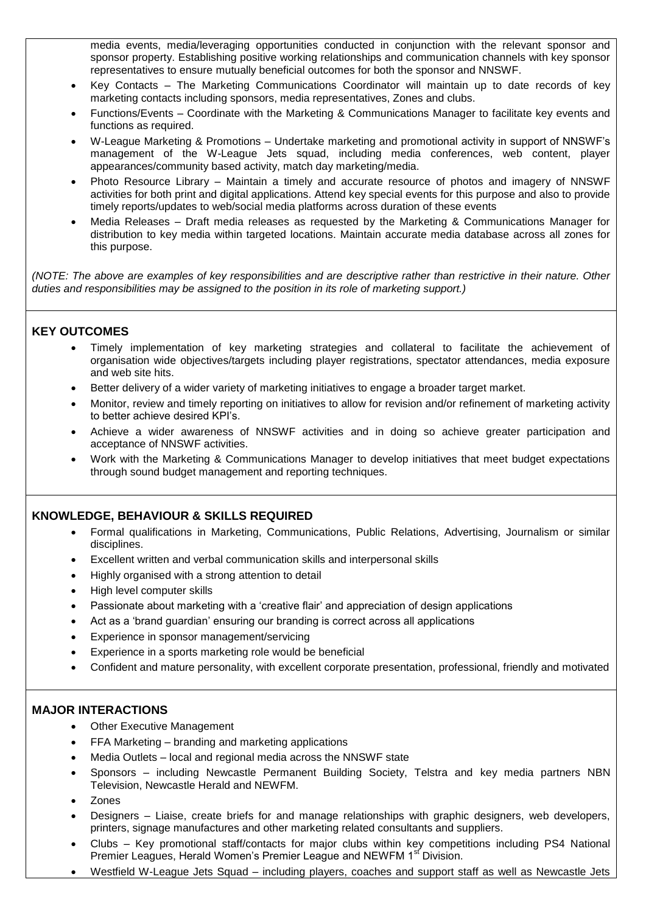media events, media/leveraging opportunities conducted in conjunction with the relevant sponsor and sponsor property. Establishing positive working relationships and communication channels with key sponsor representatives to ensure mutually beneficial outcomes for both the sponsor and NNSWF.

- Key Contacts The Marketing Communications Coordinator will maintain up to date records of key marketing contacts including sponsors, media representatives, Zones and clubs.
- Functions/Events Coordinate with the Marketing & Communications Manager to facilitate key events and functions as required.
- W-League Marketing & Promotions Undertake marketing and promotional activity in support of NNSWF's management of the W-League Jets squad, including media conferences, web content, player appearances/community based activity, match day marketing/media.
- Photo Resource Library Maintain a timely and accurate resource of photos and imagery of NNSWF activities for both print and digital applications. Attend key special events for this purpose and also to provide timely reports/updates to web/social media platforms across duration of these events
- Media Releases Draft media releases as requested by the Marketing & Communications Manager for distribution to key media within targeted locations. Maintain accurate media database across all zones for this purpose.

*(NOTE: The above are examples of key responsibilities and are descriptive rather than restrictive in their nature. Other duties and responsibilities may be assigned to the position in its role of marketing support.)* 

# **KEY OUTCOMES**

- Timely implementation of key marketing strategies and collateral to facilitate the achievement of organisation wide objectives/targets including player registrations, spectator attendances, media exposure and web site hits.
- Better delivery of a wider variety of marketing initiatives to engage a broader target market.
- Monitor, review and timely reporting on initiatives to allow for revision and/or refinement of marketing activity to better achieve desired KPI's.
- Achieve a wider awareness of NNSWF activities and in doing so achieve greater participation and acceptance of NNSWF activities.
- Work with the Marketing & Communications Manager to develop initiatives that meet budget expectations through sound budget management and reporting techniques.

# **KNOWLEDGE, BEHAVIOUR & SKILLS REQUIRED**

- Formal qualifications in Marketing, Communications, Public Relations, Advertising, Journalism or similar disciplines.
- Excellent written and verbal communication skills and interpersonal skills
- Highly organised with a strong attention to detail
- High level computer skills
- Passionate about marketing with a 'creative flair' and appreciation of design applications
- Act as a 'brand guardian' ensuring our branding is correct across all applications
- Experience in sponsor management/servicing
- Experience in a sports marketing role would be beneficial
- Confident and mature personality, with excellent corporate presentation, professional, friendly and motivated

# **MAJOR INTERACTIONS**

- Other Executive Management
- FFA Marketing branding and marketing applications
- Media Outlets local and regional media across the NNSWF state
- Sponsors including Newcastle Permanent Building Society, Telstra and key media partners NBN Television, Newcastle Herald and NEWFM.
- Zones
- Designers Liaise, create briefs for and manage relationships with graphic designers, web developers, printers, signage manufactures and other marketing related consultants and suppliers.
- Clubs Key promotional staff/contacts for major clubs within key competitions including PS4 National Premier Leagues, Herald Women's Premier League and NEWFM 1<sup>st</sup> Division.
- Westfield W-League Jets Squad including players, coaches and support staff as well as Newcastle Jets